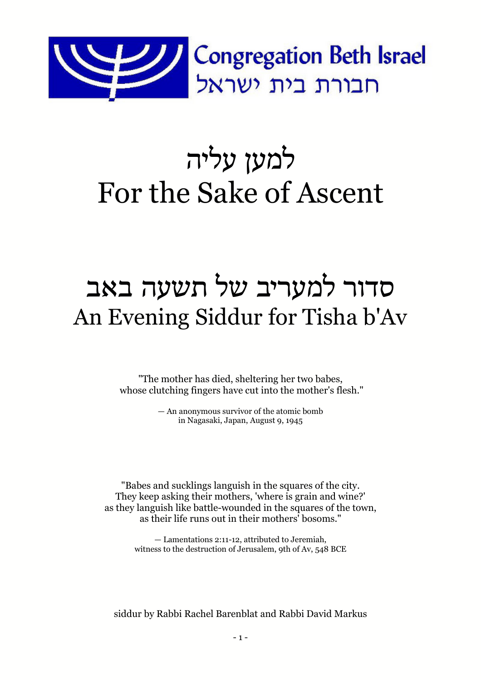

# למען עליה For the Sake of Ascent

# סדור למעריב של תשעה באב An Evening Siddur for Tisha b'Av

"The mother has died, sheltering her two babes, whose clutching fingers have cut into the mother's flesh."

> — An anonymous survivor of the atomic bomb in Nagasaki, Japan, August 9, 1945

"Babes and sucklings languish in the squares of the city. They keep asking their mothers, 'where is grain and wine?' as they languish like battle-wounded in the squares of the town, as their life runs out in their mothers' bosoms."

> — Lamentations 2:11-12, attributed to Jeremiah, witness to the destruction of Jerusalem, 9th of Av, 548 BCE

siddur by Rabbi Rachel Barenblat and Rabbi David Markus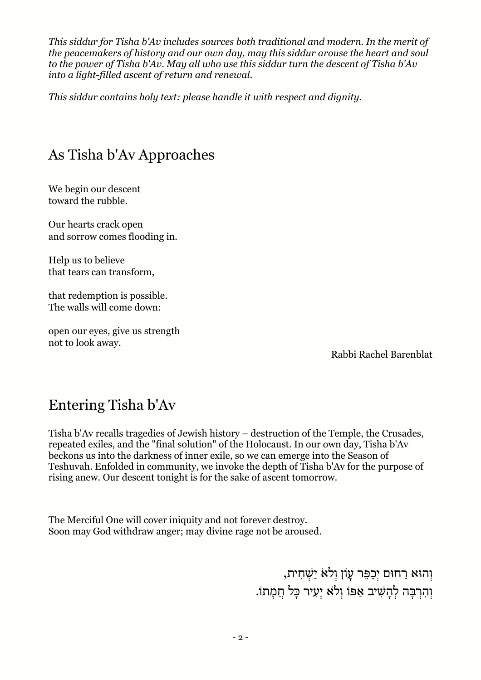*This siddur for Tisha b'Av includes sources both traditional and modern. In the merit of the peacemakers of history and our own day, may this siddur arouse the heart and soul to the power of Tisha b'Av. May all who use this siddur turn the descent of Tisha b'Av into a light-filled ascent of return and renewal.*

*This siddur contains holy text: please handle it with respect and dignity.*

# As Tisha b'Av Approaches

We begin our descent toward the rubble.

Our hearts crack open and sorrow comes flooding in.

Help us to believe that tears can transform,

that redemption is possible. The walls will come down:

open our eyes, give us strength not to look away.

Rabbi Rachel Barenblat

## Entering Tisha b'Av

Tisha b'Av recalls tragedies of Jewish history – destruction of the Temple, the Crusades, repeated exiles, and the "final solution" of the Holocaust. In our own day, Tisha b'Av beckons us into the darkness of inner exile, so we can emerge into the Season of Teshuvah. Enfolded in community, we invoke the depth of Tisha b'Av for the purpose of rising anew. Our descent tonight is for the sake of ascent tomorrow.

The Merciful One will cover iniquity and not forever destroy. Soon may God withdraw anger; may divine rage not be aroused.

> ּוְהוּא רַחוּם יְכַפֵּר עָוֹן וְלֹא יַשְׁחִית, וְהִרְבָּה לְהָשִׁיב אַפּוֹ וְלֹא יַעָיר כָּל חֲמָתוֹ.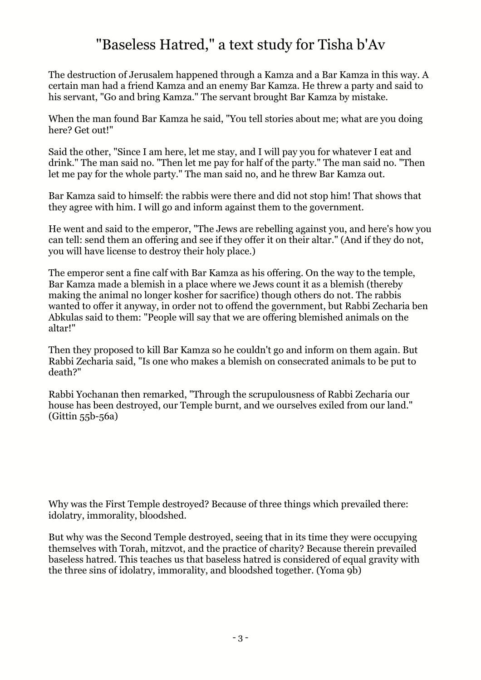# "Baseless Hatred," a text study for Tisha b'Av

The destruction of Jerusalem happened through a Kamza and a Bar Kamza in this way. A certain man had a friend Kamza and an enemy Bar Kamza. He threw a party and said to his servant, "Go and bring Kamza." The servant brought Bar Kamza by mistake.

When the man found Bar Kamza he said, "You tell stories about me; what are you doing here? Get out!"

Said the other, "Since I am here, let me stay, and I will pay you for whatever I eat and drink." The man said no. "Then let me pay for half of the party." The man said no. "Then let me pay for the whole party." The man said no, and he threw Bar Kamza out.

Bar Kamza said to himself: the rabbis were there and did not stop him! That shows that they agree with him. I will go and inform against them to the government.

He went and said to the emperor, "The Jews are rebelling against you, and here's how you can tell: send them an offering and see if they offer it on their altar." (And if they do not, you will have license to destroy their holy place.)

The emperor sent a fine calf with Bar Kamza as his offering. On the way to the temple, Bar Kamza made a blemish in a place where we Jews count it as a blemish (thereby making the animal no longer kosher for sacrifice) though others do not. The rabbis wanted to offer it anyway, in order not to offend the government, but Rabbi Zecharia ben Abkulas said to them: "People will say that we are offering blemished animals on the altar!"

Then they proposed to kill Bar Kamza so he couldn't go and inform on them again. But Rabbi Zecharia said, "Is one who makes a blemish on consecrated animals to be put to death?"

Rabbi Yochanan then remarked, "Through the scrupulousness of Rabbi Zecharia our house has been destroyed, our Temple burnt, and we ourselves exiled from our land." (Gittin 55b-56a)

Why was the First Temple destroyed? Because of three things which prevailed there: idolatry, immorality, bloodshed.

But why was the Second Temple destroyed, seeing that in its time they were occupying themselves with Torah, mitzvot, and the practice of charity? Because therein prevailed baseless hatred. This teaches us that baseless hatred is considered of equal gravity with the three sins of idolatry, immorality, and bloodshed together. (Yoma 9b)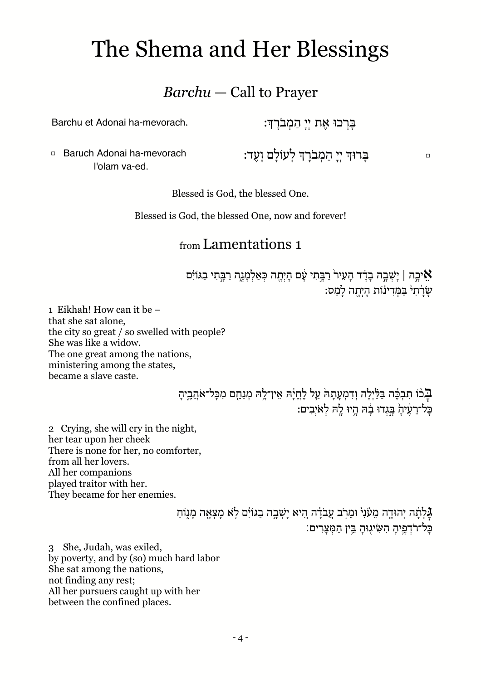# The Shema and Her Blessings

### *Barchu* — Call to Prayer

Barchu et Adonai ha-mevorach.

ּבָּרְכוּ אֶת יִי הַמְבֹרַךָּ:

□ Baruch Adonai ha-mevorach l'olam va-ed.

□ בָּ רוּך יְ יָ הַ מְ בֹרָ ך לְ עוֹלָ ם וָ עֶ ד:

Blessed is God, the blessed One.

Blessed is God, the blessed One, now and forever!

#### from Lamentations 1

אֵ יכֵה | יַשְׁבֵה בָדָד הַעָיר רַבֵּתִי עָם הַיָתָה כְּאַלְמַנֵה רַבֵּתִי בַגּוֹיִם שַׂרָת<sup>ֶ,</sup> בַּמְדִינוֹת הַיְתָה לַמַס:

1 Eikhah! How can it be – that she sat alone, the city so great / so swelled with people? She was like a widow. The one great among the nations, ministering among the states, became a slave caste.

> בֹּבֹוֹ תִבְּבֶּה בַּלַּ֫יָלָה וְדִמְעָתַהֹּ עַל לָחֱיָה אֵין־לֵהּ מְנַחֵם מִכָּל־אֹהֶבֵיהַ כֵּל־רַעָ֫יהָ בֲּגְדוּ בָה הֵיוּ לֵה לְאֹיָבִים:

2 Crying, she will cry in the night, her tear upon her cheek There is none for her, no comforter, from all her lovers. All her companions played traitor with her. They became for her enemies.

> גָּלְתָּה יְהוּדֵה מֵעָּׁנִ<sup>וּ</sup> וּמֵרִֽב עֲבֹדָ֫ה הָיא יַשְׁבֵה בַגּוֹיִם לְא מַצְאָה מַנְוֹחַ ּ כֵּל־רֹדְפֵיהַ הִשִּׂיגֶוּהַ בֵּין הַמְּצַרִים:

3 She, Judah, was exiled, by poverty, and by (so) much hard labor She sat among the nations, not finding any rest; All her pursuers caught up with her between the confined places.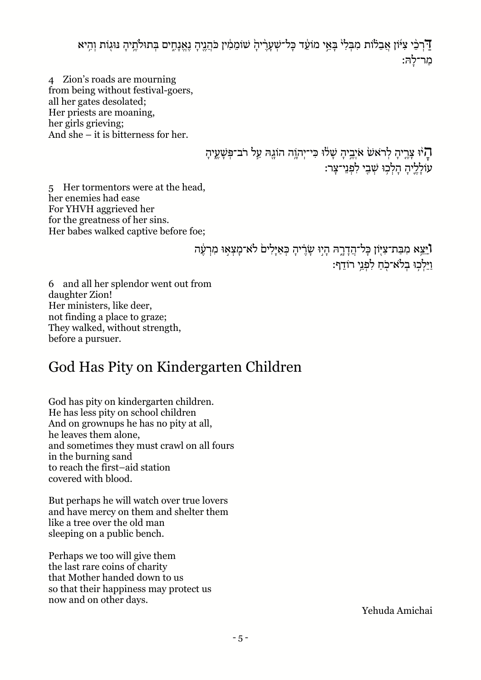דַּ רְבִי צִיּּׂוֹן אֲבֵלוֹת מִבְּלִי בָּאֵי מוֹעֵד כָּל־שְׁעָרֶיהָ שׁוֹמֵמִין כֹּהֲנֶיהָ נֶאֱנָחֶים בְּתוּלֹתֶיהָ נּוּגְוֹת וְהִיא מַ ר־לָ הּ:

4 Zion's roads are mourning from being without festival-goers, all her gates desolated; Her priests are moaning, her girls grieving; And she – it is bitterness for her.

> הָיּוּ צְרֶיהָ לְרֹאשׂ אֹיְבֵיהָ שָׁלוּ כִּי־יְהוֶה הוֹגֶהּ עַל רֹב־פְּשָׁעֶיהָ עוֹלָלִיהַ הַלְכִוּ שָׁבִי לִפְנֵי־צַר:

5 Her tormentors were at the head, her enemies had ease For YHVH aggrieved her for the greatness of her sins. Her babes walked captive before foe;

> **וֹ**יֵּצֵא מִבַּת־צִיּֽוֹן כָּל־הֲדָרֶהּ הָיִוּ שָׂרֵיהָ כְּאַיָּלִיםׂ לֹא־מָצְאִוּ מִרְעֶׁה וַיֵּלְכֵוּ בְלֹאִ־כָֹחַ לְפָנֵי רוֹדֵף:

6 and all her splendor went out from daughter Zion! Her ministers, like deer, not finding a place to graze; They walked, without strength, before a pursuer.

# God Has Pity on Kindergarten Children

God has pity on kindergarten children. He has less pity on school children And on grownups he has no pity at all, he leaves them alone, and sometimes they must crawl on all fours in the burning sand to reach the first–aid station covered with blood.

But perhaps he will watch over true lovers and have mercy on them and shelter them like a tree over the old man sleeping on a public bench.

Perhaps we too will give them the last rare coins of charity that Mother handed down to us so that their happiness may protect us now and on other days.

Yehuda Amichai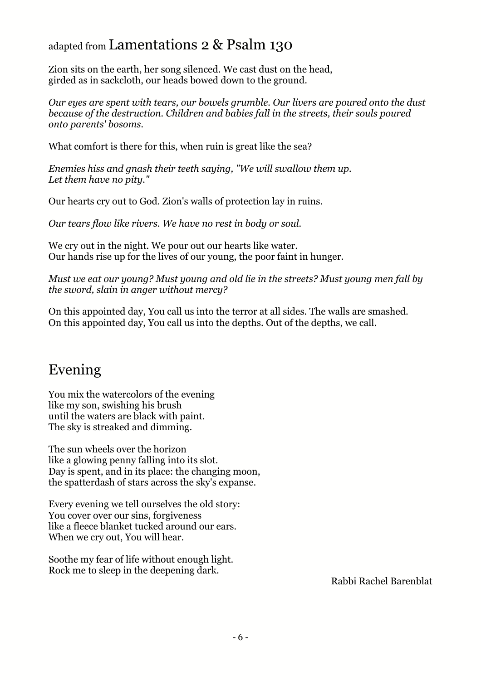#### adapted from Lamentations 2 & Psalm 130

Zion sits on the earth, her song silenced. We cast dust on the head, girded as in sackcloth, our heads bowed down to the ground.

*Our eyes are spent with tears, our bowels grumble. Our livers are poured onto the dust because of the destruction. Children and babies fall in the streets, their souls poured onto parents' bosoms.*

What comfort is there for this, when ruin is great like the sea?

*Enemies hiss and gnash their teeth saying, "We will swallow them up. Let them have no pity."*

Our hearts cry out to God. Zion's walls of protection lay in ruins.

*Our tears flow like rivers. We have no rest in body or soul.*

We cry out in the night. We pour out our hearts like water. Our hands rise up for the lives of our young, the poor faint in hunger.

*Must we eat our young? Must young and old lie in the streets? Must young men fall by the sword, slain in anger without mercy?*

On this appointed day, You call us into the terror at all sides. The walls are smashed. On this appointed day, You call us into the depths. Out of the depths, we call.

# Evening

You mix the watercolors of the evening like my son, swishing his brush until the waters are black with paint. The sky is streaked and dimming.

The sun wheels over the horizon like a glowing penny falling into its slot. Day is spent, and in its place: the changing moon, the spatterdash of stars across the sky's expanse.

Every evening we tell ourselves the old story: You cover over our sins, forgiveness like a fleece blanket tucked around our ears. When we cry out, You will hear.

Soothe my fear of life without enough light. Rock me to sleep in the deepening dark.

Rabbi Rachel Barenblat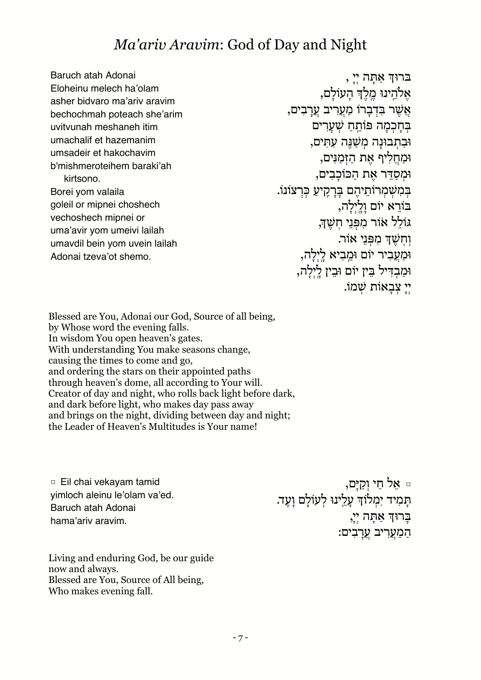# *Ma'ariv Aravim*: God of Day and Night

Baruch atah Adonai Eloheinu melech ha'olam asher bidvaro ma'ariv aravim bechochmah poteach she'arim uvitvunah meshaneh itim umachalif et hazemanim umsadeir et hakochavim b'mishmeroteihem baraki'ah kirtsono. Borei yom valaila goleil or mipnei choshech vechoshech mipnei or uma'avir yom umeivi lailah umavdil bein yom uvein lailah Adonai tzeva'ot shemo.

בּרוּך אַ תָּ ה יְ יָ , אֶלֹהֵינוּ מֱלֵדְ הַעוֹלַם, אֲ שֶׁ ר בִּ דְ בָ רוֹֹ מַ עֲ רִ יב עֲ רָ בִ ים, בְּחַכְמָה פּוֹתֵחַ שָׁעֲרִים וּּבְתָבוּנָה מְשַׁנֵּה עָתִּים, וּּמַ חֲ לִ יף אֶ ת הַ זְּ מַ נִּ ים, וּּמְ סַ דֵּ ר אֶ ת הַ כּוֹֹ כָ בִ ים, בְּמְשָׁמְרוֹתֵיהֶם בַּרָקִיעַ כִּרְצוֹנוֹ. בּוֹרֵא יוֹם וַלֵ<sup>יְ</sup>לָה, גּוֹֹ לֵ ל אֹוֹר מִ פְּ נֵ י חֽ שֶׁ ך, וְחִשָּׁךְ מִפְּנֵי אוֹר. וּמַעֲבִיר יוֹם וּמֵבִיא לַיִלָה, וּמַבְדִיל בֵּין יוֹם וּבֵין לַיְלָה, יְ יָ צְ בָ אוֹֹ ת שְׁ מוֹ.ֹ

Blessed are You, Adonai our God, Source of all being, by Whose word the evening falls. In wisdom You open heaven's gates. With understanding You make seasons change, causing the times to come and go, and ordering the stars on their appointed paths through heaven's dome, all according to Your will. Creator of day and night, who rolls back light before dark, and dark before light, who makes day pass away and brings on the night, dividing between day and night; the Leader of Heaven's Multitudes is Your name!

□ Eil chai vekayam tamid yimloch aleinu le'olam va'ed. Baruch atah Adonai hama'ariv aravim.

□ אֵ ל חַ י וְ קַ יָּ ם, תְּמִיד יִמְלוֹדְ עָלֵינוּ לְעוֹלָם וָעֶד.<br>תָּמִיד יִמְלוֹדְ עָלֵינוּ לְעוֹלָם וָעֶד. ַבְרוּךְ אַתָּה יְיָ, המַעָרִיב עַרבִים:

Living and enduring God, be our guide now and always. Blessed are You, Source of All being, Who makes evening fall.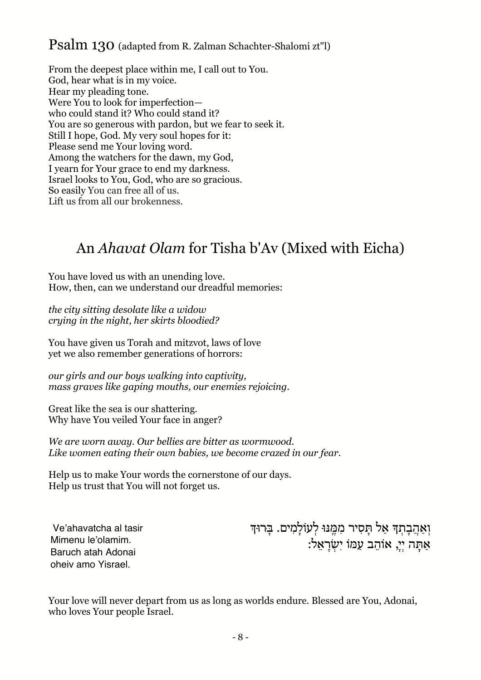#### Psalm 130 (adapted from R. Zalman Schachter-Shalomi zt"l)

From the deepest place within me, I call out to You. God, hear what is in my voice. Hear my pleading tone. Were You to look for imperfection who could stand it? Who could stand it? You are so generous with pardon, but we fear to seek it. Still I hope, God. My very soul hopes for it: Please send me Your loving word. Among the watchers for the dawn, my God, I yearn for Your grace to end my darkness. Israel looks to You, God, who are so gracious. So easily You can free all of us. Lift us from all our brokenness.

# An *Ahavat Olam* for Tisha b'Av (Mixed with Eicha)

You have loved us with an unending love. How, then, can we understand our dreadful memories:

*the city sitting desolate like a widow crying in the night, her skirts bloodied?*

You have given us Torah and mitzvot, laws of love yet we also remember generations of horrors:

*our girls and our boys walking into captivity, mass graves like gaping mouths, our enemies rejoicing.*

Great like the sea is our shattering. Why have You veiled Your face in anger?

*We are worn away. Our bellies are bitter as wormwood. Like women eating their own babies, we become crazed in our fear.*

Help us to make Your words the cornerstone of our days. Help us trust that You will not forget us.

Ve'ahavatcha al tasir Mimenu le'olamim. Baruch atah Adonai oheiv amo Yisrael.

וְאַהֲבְתְךָ אַל תָּסִיר מִמֶּנּוּ לְעוֹלָמִים. בְּרוּדְ .<br>אִתָּה יִי, אוֹהֵב עִמּוֹ יִשְׂרֹאֵל:

Your love will never depart from us as long as worlds endure. Blessed are You, Adonai, who loves Your people Israel.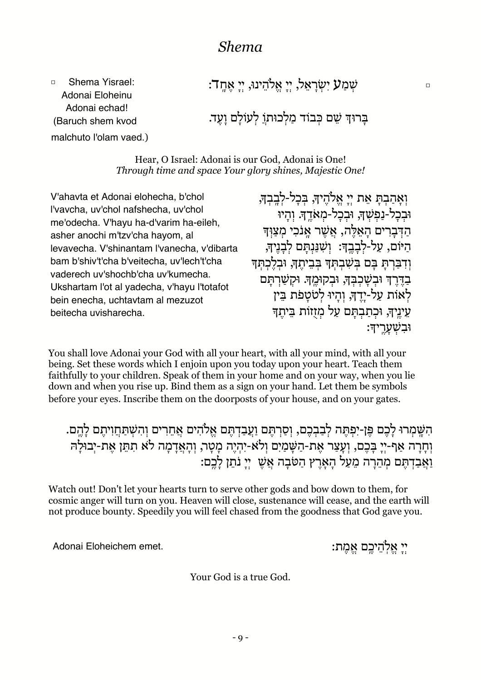#### *Shema*

□ Shema Yisrael: Adonai Eloheinu Adonai echad! (Baruch shem kvod ָ שְׁמַ ${\bf V}$  יִשְׂרַאֵל, יִי אֱלֹהֵינוּ, יִי אֶחֶד: בְּרוּךְ שֵׁם כְּבוֹד מַלְכוּתוַ לְעוֹלַם וַעֶד. malchuto l'olam vaed.)

> Hear, O Israel: Adonai is our God, Adonai is One! *Through time and space Your glory shines, Majestic One!*

V'ahavta et Adonai elohecha, b'chol l'vavcha, uv'chol nafshecha, uv'chol me'odecha. V'hayu ha-d'varim ha-eileh, asher anochi m'tzv'cha hayom, al levavecha. V'shinantam l'vanecha, v'dibarta bam b'shiv't'cha b'veitecha, uv'lech't'cha vaderech uv'shochb'cha uv'kumecha. Ukshartam l'ot al yadecha, v'hayu l'totafot bein enecha, uchtavtam al mezuzot beitecha uvisharecha.

וְאָהַבְתָּ אֵת יְיָ אֱלֹהֶיךָּ, בִּכָל-לְבֵבִךְּ, וּבְכַל-נַפְשָׁךְ, וּבְכָל-מְאֹדֶךָ. וְהָיוּ הַ דְּ בָ רִ ים הָ אֵ לֶּ ה, אֲ שֶׁ ר אָ ֽ נֹכִ י מְ צַ וְּ ך הַ יּוֹם, עַל-לִבְבֵךָ: וְשִׁנַּנְתַּם לְבָנֵיךְ וְדִבַּרְתָּ בָּם בְּשָׁבִתְּךָּ בְּבֵיתֵךְּ, וּבְלֵכְתִּךְ בְדֶּרֶךְ וּבְשָׁכִבְּךָ, וּבְקוּמֶךָ. וּקִשַּׁרְתַּם לְאוֹת על-יִדֶד, וְהִיוּ לְטֹטְפֹת בִּיז עֵינֵיךְ, וּכְתַבְתָּם עַל מְזָזוֹת בֵּיתֵךְ וּבִ שְׁ עָ רֶ ֽ יך:

You shall love Adonai your God with all your heart, with all your mind, with all your being. Set these words which I enjoin upon you today upon your heart. Teach them faithfully to your children. Speak of them in your home and on your way, when you lie down and when you rise up. Bind them as a sign on your hand. Let them be symbols before your eyes. Inscribe them on the doorposts of your house, and on your gates.

הִשֶּׁמְרוּּ לָבֶם פֵּן-יִפְתֵּה לְבַבְבֶם, וְסַרְתֵּם וַעֲבַדְתֵּם אֱלֹהִים אֲחֵרִים וְהִשִׁתַּחֲוִיתֵם לָהֱם. וְחָרָה אַף-יִי בָּבֶם, וְעָצַר אֶת-הַשָּׁמַיִם וְלֹא-יִהְיֶה מָטָר, וְהָאֲדָמָה לֹא תִתֵּן אֶת-יְבוּלָהּ וַאֲבַדְתֵּם מְהֶרָה מֶעָל הַאָרֶץ הַטֹּבָה אֱשֶׁ יְיָ נֹתֵן לַכֵּם:

Watch out! Don't let your hearts turn to serve other gods and bow down to them, for cosmic anger will turn on you. Heaven will close, sustenance will cease, and the earth will not produce bounty. Speedily you will feel chased from the goodness that God gave you.

יְ יָ אֱ לֽ הֵ יכֶ ֽ ם אֱ מֶ ת: .emet Eloheichem Adonai

Your God is a true God.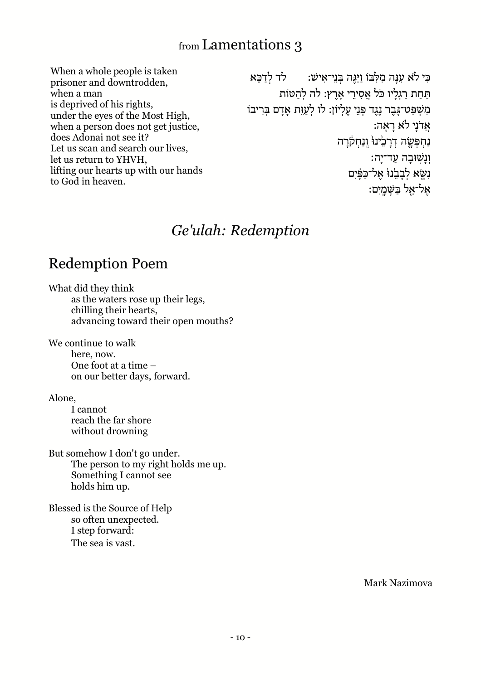#### from Lamentations 3

When a whole people is taken prisoner and downtrodden, when a man is deprived of his rights, under the eyes of the Most High, when a person does not get justice, does Adonai not see it? Let us scan and search our lives, let us return to YHVH, lifting our hearts up with our hands to God in heaven.

כִּי לֹאָ עַנָּה מַלְבּוֹ וִיּגֶה בִּנִי־אִישׁ: לִד לִדְכֵּא תִּחַת רגליו כֹּל אַסִירי אַרץ: לֹה לֹהִטּוֹת מִשְׁפַּט־גָּבֶר נֶגֶד פְּנֵי עֵלְיוֹן: לו לְעַוֵּת אָדָם בְּרִיבוֹ אֲ דֹנָ י ל ֹא רָ אָ ה: נַחִפְּשֶׂה דְרָבֵ<sup>י</sup>ינוּ<sup>י</sup> וְנַחְקֹרָה וּנַשׁוּבה עַד־יִה: נִשֵּׂא לְבָבֵׂנוּ אֱל־כַּפָּ֫יִם אֵל־אֱל בַּשַּׁמֵיִם:

#### *Ge'ulah: Redemption*

## Redemption Poem

What did they think as the waters rose up their legs, chilling their hearts, advancing toward their open mouths?

We continue to walk here, now. One foot at a time – on our better days, forward.

Alone,

I cannot reach the far shore without drowning

But somehow I don't go under. The person to my right holds me up. Something I cannot see holds him up.

Blessed is the Source of Help so often unexpected. I step forward: The sea is vast.

Mark Nazimova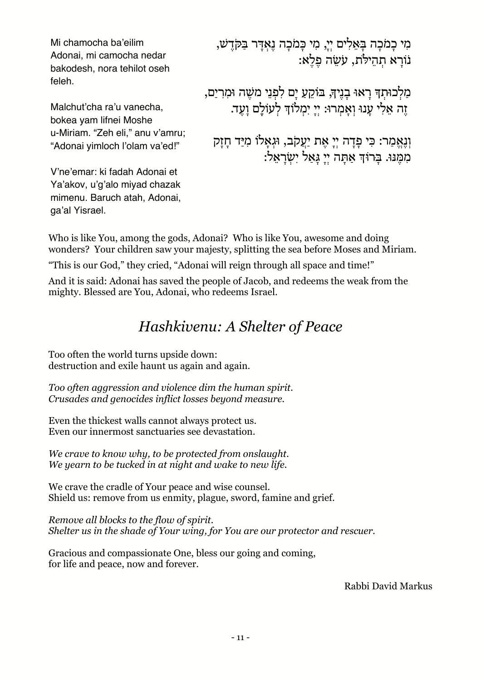Mi chamocha ba'eilim Adonai, mi camocha nedar bakodesh, nora tehilot oseh feleh.

Malchut'cha ra'u vanecha, bokea yam lifnei Moshe u-Miriam. "Zeh eli," anu v'amru; "Adonai yimloch l'olam va'ed!"

V'ne'emar: ki fadah Adonai et Ya'akov, u'g'alo miyad chazak mimenu. Baruch atah, Adonai, ga'al Yisrael.

מִ י כָ מֹכָ ה בָּ ּאֵ לִ ים יְ י,ָ מִ י כָּ מֹכָ ה נֶ אְ דָּ ר בַּ ּקֹּדֶ שׁ, נֹוֹרָא תִהילֹת, עַשׂה פַלְאָ:

מַלְכוּתְדְּ רָאוּ בָנֵיךְ, בּוֹקֵעַ יָם לִפְנֵי משֵׂה וּמִרְיַם, זֶ ה אֵ לִ י עָ נוּּ וְ אָ מְ רוּ:ּ יְ יָ יִ מְ לוֹֹ ך לְ עוֹֹ לֶָ ם וָ עֶ ד.

וְנֶאֱמַר: כִּי פָדָה יְיָ אֶת יַעֲקֹב, וּגְאָלוֹ מִיַּד חָזָק מִ מֶּ נּוּ.ּ בָּ ּרוֹּ ך אַ תָּ ה יְ יָ גָּ אַ ל יִ שְׂ רָ אֵ ל:

Who is like You, among the gods, Adonai? Who is like You, awesome and doing wonders? Your children saw your majesty, splitting the sea before Moses and Miriam.

"This is our God," they cried, "Adonai will reign through all space and time!"

And it is said: Adonai has saved the people of Jacob, and redeems the weak from the mighty. Blessed are You, Adonai, who redeems Israel.

# *Hashkivenu: A Shelter of Peace*

Too often the world turns upside down: destruction and exile haunt us again and again.

*Too often aggression and violence dim the human spirit. Crusades and genocides inflict losses beyond measure.*

Even the thickest walls cannot always protect us. Even our innermost sanctuaries see devastation.

*We crave to know why, to be protected from onslaught. We yearn to be tucked in at night and wake to new life.*

We crave the cradle of Your peace and wise counsel. Shield us: remove from us enmity, plague, sword, famine and grief.

*Remove all blocks to the flow of spirit. Shelter us in the shade of Your wing, for You are our protector and rescuer.*

Gracious and compassionate One, bless our going and coming, for life and peace, now and forever.

Rabbi David Markus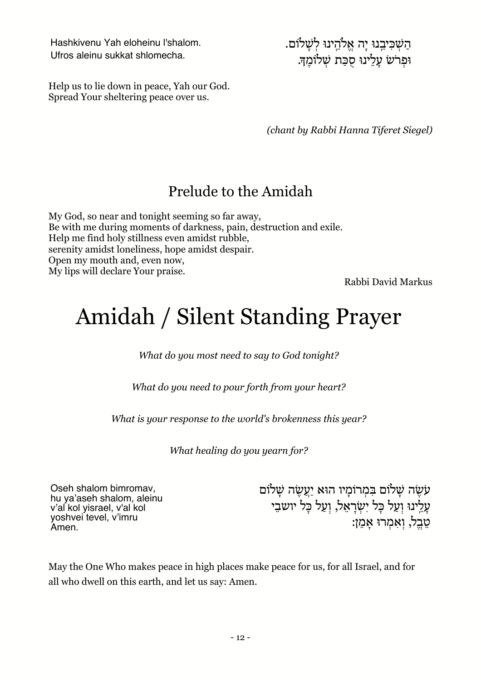Hashkivenu Yah eloheinu l'shalom. Ufros aleinu sukkat shlomecha.

הַ שְׁ כִּ יבֵ ֽ נוּ יָ ה אֱ להֵ ֽ ינוּ לְ שָׁ לוֹֹ ם. וּפְ רֹשׂ עָ לֵ ינוּ סֻ כַּ ת שְׁ לוֹֹ מֶ ך.

Help us to lie down in peace, Yah our God. Spread Your sheltering peace over us.

*(chant by Rabbi Hanna Tiferet Siegel)*

# Prelude to the Amidah

My God, so near and tonight seeming so far away, Be with me during moments of darkness, pain, destruction and exile. Help me find holy stillness even amidst rubble, serenity amidst loneliness, hope amidst despair. Open my mouth and, even now, My lips will declare Your praise.

Rabbi David Markus

# Amidah / Silent Standing Prayer

*What do you most need to say to God tonight?*

*What do you need to pour forth from your heart?*

*What is your response to the world's brokenness this year?*

*What healing do you yearn for?*

Oseh shalom bimromav, hu ya'aseh shalom, aleinu v'al kol yisrael, v'al kol yoshvei tevel, v'imru Amen.

עֹשֶׂה שַׁלוֹם בִּמְרוֹמַיו הוּא יַעֲשֶׂה שַׁלוֹם עַלֵּ יְנוּ וְעַל כַּל יְשָׂרַאֵל, וְעַל כַּל יושבֵי טֶבֱל, וְאִמְרוּ אַמֵן:

May the One Who makes peace in high places make peace for us, for all Israel, and for all who dwell on this earth, and let us say: Amen.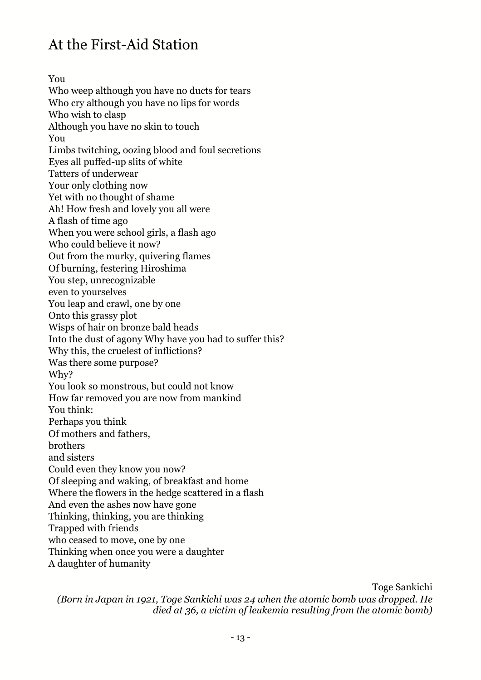# At the First-Aid Station

You Who weep although you have no ducts for tears Who cry although you have no lips for words Who wish to clasp Although you have no skin to touch You Limbs twitching, oozing blood and foul secretions Eyes all puffed-up slits of white Tatters of underwear Your only clothing now Yet with no thought of shame Ah! How fresh and lovely you all were A flash of time ago When you were school girls, a flash ago Who could believe it now? Out from the murky, quivering flames Of burning, festering Hiroshima You step, unrecognizable even to yourselves You leap and crawl, one by one Onto this grassy plot Wisps of hair on bronze bald heads Into the dust of agony Why have you had to suffer this? Why this, the cruelest of inflictions? Was there some purpose? Why? You look so monstrous, but could not know How far removed you are now from mankind You think: Perhaps you think Of mothers and fathers, brothers and sisters Could even they know you now? Of sleeping and waking, of breakfast and home Where the flowers in the hedge scattered in a flash And even the ashes now have gone Thinking, thinking, you are thinking Trapped with friends who ceased to move, one by one Thinking when once you were a daughter A daughter of humanity

Toge Sankichi

*(Born in Japan in 1921, Toge Sankichi was 24 when the atomic bomb was dropped. He died at 36, a victim of leukemia resulting from the atomic bomb)*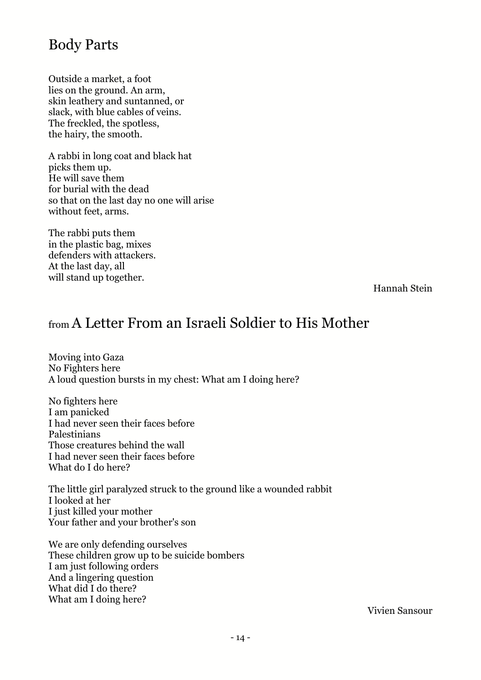# Body Parts

Outside a market, a foot lies on the ground. An arm, skin leathery and suntanned, or slack, with blue cables of veins. The freckled, the spotless, the hairy, the smooth.

A rabbi in long coat and black hat picks them up. He will save them for burial with the dead so that on the last day no one will arise without feet, arms.

The rabbi puts them in the plastic bag, mixes defenders with attackers. At the last day, all will stand up together.

Hannah Stein

## from A Letter From an Israeli Soldier to His Mother

Moving into Gaza No Fighters here A loud question bursts in my chest: What am I doing here?

No fighters here I am panicked I had never seen their faces before Palestinians Those creatures behind the wall I had never seen their faces before What do I do here?

The little girl paralyzed struck to the ground like a wounded rabbit I looked at her I just killed your mother Your father and your brother's son

We are only defending ourselves These children grow up to be suicide bombers I am just following orders And a lingering question What did I do there? What am I doing here?

Vivien Sansour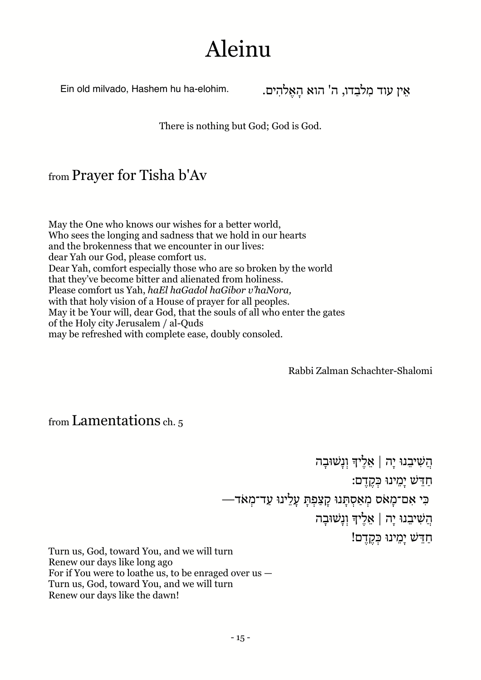# Aleinu

אֵין עוד מִלבַדו, ה' הוא הַאֵלהִים. . .ein old milvado, Hashem hu ha-elohim

There is nothing but God; God is God.

#### from Prayer for Tisha b'Av

May the One who knows our wishes for a better world, Who sees the longing and sadness that we hold in our hearts and the brokenness that we encounter in our lives: dear Yah our God, please comfort us. Dear Yah, comfort especially those who are so broken by the world that they've become bitter and alienated from holiness. Please comfort us Yah, *haEl haGadol haGibor v'haNora,* with that holy vision of a House of prayer for all peoples. May it be Your will, dear God, that the souls of all who enter the gates of the Holy city Jerusalem / al-Quds may be refreshed with complete ease, doubly consoled.

Rabbi Zalman Schachter-Shalomi

#### from Lamentations ch. 5

הֲ שִׁ יבֵ נוּ יָ ה | אֵ לֶ יך וְ נָ שׁוּבָ ה חַ דֵּ שׁ יָ מֵ ינוּ כְּ קֶ דֶ ם: כִּ י אִ ם־מָ אֹס מְ אַ סְ תָּ נוּ קָ צַ פְ תָּ עָ לֵ ינוּ עַ ד־מְ אֹד— הֲ שִׁ יבֵ נוּ יָ ה | אֵ לֶ יך וְ נָ שׁוּבָ ה חַדֵּשׁ יָמֵינוּ כְּקֶדֶם!

Turn us, God, toward You, and we will turn Renew our days like long ago For if You were to loathe us, to be enraged over us — Turn us, God, toward You, and we will turn Renew our days like the dawn!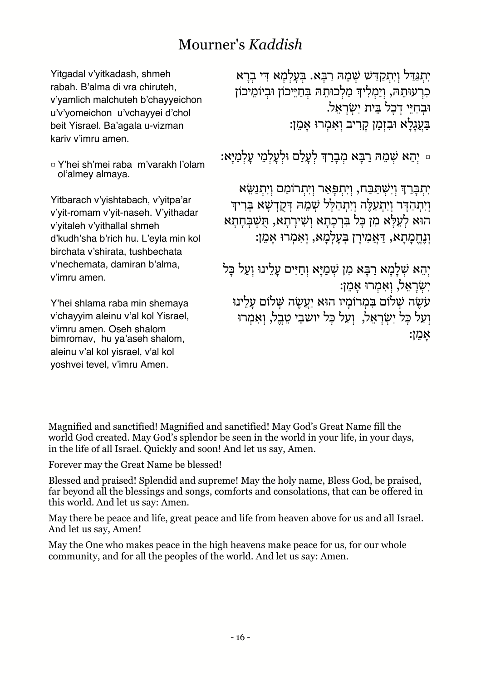# Mourner's *Kaddish*

Yitgadal v'yitkadash, shmeh rabah. B'alma di vra chiruteh, v'yamlich malchuteh b'chayyeichon u'v'yomeichon u'vchayyei d'chol beit Yisrael. Ba'agala u-vizman kariv v'imru amen.

□ Y'hei sh'mei raba m'varakh l'olam ol'almey almaya.

Yitbarach v'yishtabach, v'yitpa'ar v'yit-romam v'yit-naseh. V'yithadar v'yitaleh v'yithallal shmeh d'kudh'sha b'rich hu. L'eyla min kol birchata v'shirata, tushbechata v'nechemata, damiran b'alma, v'imru amen.

Y'hei shlama raba min shemaya v'chayyim aleinu v'al kol Yisrael, v'imru amen. Oseh shalom bimromav, hu ya'aseh shalom, aleinu v'al kol yisrael, v'al kol yoshvei tevel, v'imru Amen.

יִתְגַּדַל וְיִתְקַדַּשׁ שְׁמֵהּ רַבְּא. בִּעָלְמַא דִּי בִרָא כִרְ עוּתֵהּ, וְיַמְלִיךְ מַלְכוּתֵהּ בְּחַיֵּיכוֹן וּבְיוֹמֵיכוֹן וּבְחַיֵּי דְכָל בֵּית יְשָׂרָאֵל. בַּעֲגָלַא וּבִזְמַן קַרִיב וְאָמְרוּ אָמֵן:

ּ יְהֵא שְׁמֵהּ רַבְּא מִבְרַךְ לְעָלַם וּלְעָלְמֵי עָלְמַיַּא:

יִתְבַּרַךְ וְיִשְׁתַּבָּח, וְיִתְפָּאַר וְיִתְרוֹמַם וְיִתְנַשֵּׂא וְיִתְהַדָּר וְיִתְעַלֶּה וְיִתְהַלָּל שִׁמֵהּ דְּקָדְשָׁא בִּרִידִּ הוּא לְעֵלָּא מִן כָּל בִּרְכָתָא וְשִׁירָתָא, תְּשִׁבְּחָתָא וְנֶחֱמָתָא, דַּאֲמִירַן בְּעַלְמָא, וְאִמְרוּ אָמֵן:

יִהֵא שְׁלַמַא רַבָּא מִן שִׁמַיָּא וְחַיִּים עָלִינוּ וְעַל כָּל יִשְׂרַאֵל, וְאִמְרוּ אָמֵן: ע*ֹשֶׂה שָׁלוֹם בִּמְרוֹמַיו הוּא יַעֲשֶׂה שַׁלוֹם עַלֵינוּ* וְעַל כַּל יְשְׂרַאֱל, וְעַל כַּל יושבֵי טֵבֵל, וְאִמְרוּ אָ מֵ ן:

Magnified and sanctified! Magnified and sanctified! May God's Great Name fill the world God created. May God's splendor be seen in the world in your life, in your days, in the life of all Israel. Quickly and soon! And let us say, Amen.

Forever may the Great Name be blessed!

Blessed and praised! Splendid and supreme! May the holy name, Bless God, be praised, far beyond all the blessings and songs, comforts and consolations, that can be offered in this world. And let us say: Amen.

May there be peace and life, great peace and life from heaven above for us and all Israel. And let us say, Amen!

May the One who makes peace in the high heavens make peace for us, for our whole community, and for all the peoples of the world. And let us say: Amen.